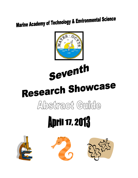## **Marine Academy of Technology & Environmental Science**



Seventh

# Research Showcase

### Abstract Guide

# **April 17, 2013**





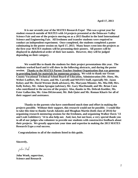**It is our seventh year of the MATES Research Expo! This was a great year for student research outside of MATES with 14 projects presented at the Delaware Valley Science Fair and one of the projects moving on as a 2013 finalist in the Intel International Science and Engineering Fair. All freshmen and transfer students were required to conduct an independent experiment. Once completed, the students completed a poster culminating in the poster session on April 17, 2013. Many hours went into the projects as the first year MATES students will be presenting their posters. All posters will be displayed in alphabetical order of their last names. However, they will be judged depending on their category.** 

**We would like to thank the students for their project presentations this year. The students worked hard and it will show in the following abstracts, and during the poster session. Thanks to the MATES Parent-Teacher-Student Organization that was generous in providing funds for materials for numerous projects. We wish to thank our Ocean County Vocational Technical School Board of Education, Administration (Mr. Hoey, Ms. Weber-Loeffert, Mr. Frazee, and Ms. Carroll) and MATES Staff, especially Mr. Jason Kelsey and Mr. David Werner (both advisors), Ms. Maryann Minnier, Ms. Mia Dill, Mrs. Kelly Kelsey, Mr. Adam Sprague (advisor), Mr. Gary MacDonald, and Mr. Brian Coen who contributed to the success of the project. Also, thanks to Ms. Debrah Koehler, Ms. Ester Gallacchio, Mr. Gino DiGiovanni, Mr. Bob Quist and Mr. Roman Khariv for all of their support and assistance.** 

**Thanks to the parents who have contributed much time and effort in making the projects possible. Without their support, this research would not be possible. I would like to take this time to thanks Sarah Jakositz and Meaghan Martin (both class of 2014) for organizing research mentoring sessions for the freshmen, and organizing Walker Davis '13 and Leah Goldsberry '14 to also help out. And, last, but not least, a very special thank you to all of our judges who volunteer to provide our students with constructive feedback about their projects. We greatly appreciate your time and expertise in making the 2013 MATES Research Expo a real success.** 

 **Congratulations to all of the students listed in this guide.** 

**Sincerely,**

John Wrock

**John Wnek, supervisor, Science and Research**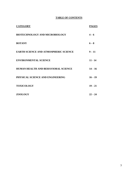### **TABLE OF CONTENTS**

| <b>CATEGORY</b>                              | <b>PAGES</b> |
|----------------------------------------------|--------------|
| <b>BIOTECHNOLOGY AND MICROBIOLOGY</b>        | $4 - 6$      |
| <b>BOTANY</b>                                | $6 - 8$      |
| <b>EARTH SCIENCE AND ATMOSPHERIC SCIENCE</b> | $9 - 11$     |
| <b>ENVIRONMENTAL SCIENCE</b>                 | $11 - 14$    |
| <b>HUMAN HEALTH AND BEHAVIORAL SCIENCE</b>   | $14 - 16$    |
| PHYSICAL SCIENCE AND ENGINEERING             | $16 - 19$    |
| <b>TOXICOLOGY</b>                            | $19 - 21$    |
| <b>ZOOLOGY</b>                               | $22 - 24$    |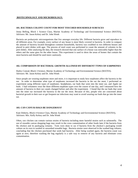### **BIOTECHNOLOGY AND MICROBIOLOGY:**

### **101. BACTERIA COLONY COUNT FOR MOST TOUCHED HOUSEHOLD SURFACES**

Jenny Belling, Block 1 Science Class, Marine Academy of Technology and Environmental Science (MATES), Advisors: Mr. Jason Kelsey and Dr. John Wnek

Bacteria are prokaryotic microorganisms that live amongst everyday life. Different bacteria grow and reproduce in all different areas. For example, every surface of any house is most likely covered in bacteria. In order to compare the amount of bacteria located throughout common households, bacteria was swabbed in two different houses and placed in petri dishes with agar. The process of total count was performed to count the amount of colonies in the petri dishes. After analyzing the data, the research showed that one surface of a house was noticeably higher than the others and the same goes for the other house. This experiment is used to show the areas of homes that contain the most bacteria and should be used more cautiously.

### **102. COMPARISON OF BACTERIAL GROWTH ALLOWED BY DIFFERENT TYPES OF EARPHONES**

Hailey Conrad, Block 3 Science, Marine Academy of Technology and Environmental Science (MATES). Advisors: Mr. Jason Kelsey and Dr. John Wnek

Since people are wearing earphones more and more, it is important to study how earphones affect the bacteria in the ear. In order to determine what type of earphones increased the bacteria in the ear the most, I performed an experiment using different types of earphones- headphones, ear buds that went into the inner ear, and Apple ear buds. I had volunteers wear the three different earphone types over the course of one day, and I measured how the amount of bacteria in their ear canals changed before and after the experiment. I found that the ear buds that went into the inner ear increased the bacteria in the ear the most. Because of this, people who are concerned about bacterial growth in their ears or get frequent ear infections may want to avoid wearing ear buds that go into the inner ear.

### **103. CAN CANVAS BAGS BE DANGEROUS?**

Kate Doherty, Block 4 Science Class, Marine Academy of Technology and Environmental Science (MATES), Advisors: Mrs. Kelly Kelsey and Dr. John Wnek

Often, raw chicken can contain various strains of bacteria including more harmful strains such as salmonella. The use of reusable canvas shopping bags may result in the cross contamination of other foods later if the bacteria from the chicken and its packaging remains. Tests were done to see if bacteria from the chicken's packaging would culture on its own in washed or unwashed reusable bags. Bacteria strains were observed in the washed bag cultures, concluding that the chicken purchased that week had bacteria. After being washed again, the bacteria count was again at zero, therefore washing the bag regularly is a safe way to remove of any bacteria and eliminate cross contamination.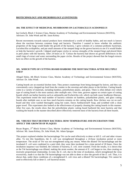### **BIOTECHNOLOGY AND MICROBIOLOGY (CONTINUED)**

### **104. THE EFFECT OF MEDICINAL MUSHROOMS ON** *LACTOBACILLUS ACIDOPHILUS*

Ian Gorlach, Block 1 Science Class, Marine Academy of Technology and Environmental Sciences (MATES), Advisors: Dr. John Wnek and Mr. Jason Kelsey

Recent movements towards natural products have reintroduced a world of healthy habits, and not much is known about the reactions between common fungi and bacteria. Therefore I wanted to know whether the antibiotic properties of the fungi would hinder the growth of the bacteria. I grew colonies of a common probiotic bacterium, *Lactobacillus acidophilus,* and put small amounts of the steeped fungi on the grown bacteria to see if it would hinder or help the bacteria's growth. I dipped small paper circles in various strengths of the steeped fungi and placed them in petri plates with the bacteria. After 24 hours at 35 Celsius the bacteria had shown no growth differences in the small rings of extract and water surrounding the paper circles. Results of the project showed that the fungal extracts have no effect on the growth of the bacteria.

### **105. WHICH TYPE OF CUTTING BOARD HARBORS THE MOST BACTERIA AFTER MULTIPLE USES?**

Abigail Hulse, 4th Block Science Class, Marine Academy of Technology and Environmental Science (MATES), Advisor: Dr. John Wnek

Cutting boards are an essential kitchen item. They protect countertops from being damaged by knives, and they can conveniently carry chopped-up food from the counter to the stovetop and other places in the kitchen. Cutting boards come in a variety of materials, including bamboo, polyethylene plastic, and glass. There is often debate over which type of cutting board is the most sanitary after multiple uses. Over time, grooves appear on certain types of cutting boards which can harbor bacteria such as salmonella and Escherichia coli, which can both cause foodborne illnesses. This experiment tested the total number of bacteria colonies on bamboo, polyethylene plastic, and glass cutting boards after multiple uses to see how much bacteria remains on the cutting boards. Raw chicken was cut on each board and they were washed thoroughly using hot water, Dawn Antibacterial® Soap, and scrubbed with a clean paper towel. This experiment also looked at the effectiveness of properly cleaning the cutting boards in this manner. After five uses, the results show that the polyethylene plastic cutting board harbored the most bacteria and that washing the boards in the manner described above effectively removed most of the bacteria from all three boards.

### **106. VIRUSES THAT DESTROY BACTERIA: HOW TEMPERATURE AND INCUBATION TIME AFFECT THE GROWTH OF PLAQUES**

Bryan Rogers, 3<sup>rd</sup> Block Science Class, Marine Academy of Technology and Environmental Sciences (MATES), Advisor: Mr. Jason Kelsey, Dr. John Wnek, Mr. Adam Sprague

This project explored whether the bacteriophage T4r can be used effectively to deter or kill *E. coli* and other viruses alike. To test this hypothesis, the *E. coli* was strengthened throughout a 24-hour incubation period at room temperature. The strain of T4r was not strengthened using any means. When the diluted T4r bacteriophage and the incubated *E. coli* were combined in a petri dish, they were then incubated for a time period of 20 hours. Once the incubation sequence was finished, the colonies of bacteria, *E. coli*, were counted. From the results, it is shown that as the T4r bacteriophage was diluted, making the strain weaker, the amount of *E. coli* began to rise, thus creating an inversely proportional relationship. In total, the *E. coli*, due to the time of incubation, which strengthened the virus excessively, made it so that the T4r bacteriophage was not able to deter or slow the growth of the *E. coli*. Thus, it is shown that, under these conditions of a strengthened E. coli virus and a diluted T4r bacteriophage; T4r cannot be used to effectively kill or deter *E. coli* bacterial strains.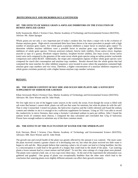### **BIOTECHNOLOGY AND MICROBIOLOGY (CONTINUED)**

### **107. THE EFFECTS OF WHOLE GRAIN A-AMYLASE INHIBITORS ON THE EVOLUTION OF HUMAN AMYLASE GENES**

Kelly Szaniawski, Block 2 Science Class, Marine Academy of Technology and Environmental Science (MATES), Advisor: Mr. Adam Sprague

Whole grains are not only a very important part of today's modern diet, but share a major role in the evolution of Human amylase genes. High-starch concentrated diets have been shown to be more prevalent in people with a high number of amylase gene copies. Are whole grain a-amylase inhibitors a major factor in amylase gene copies? To determine whether amylase inhibitors were a possible factor in amylase gene copy numbers, eight different inhibitors of whole grain species: *Triticum aestivum* (wheat)*, Seteria italic* (millet)*, Oryza sativa (*rice*), Aegilops tauschii* (a type of a grass), *Hordeum vulgare* (barley)*, Sorghum bicolor (*millet*), Zea mays (*corn*), Avena sativa* (oats) were each compared to the genomes of the same seven whole grain species using an online protein/ nucleotide comparison tool called *BLAST*. Additionally, the origin and consumption regions of these whole grain species were compared for starch diet consumption and amylase-copy numbers. Results showed that the whole grains that had contained the most matches for other inhibitor sequences were located in areas where the population contained high amylase gene copy numbers and vice versa. Therefore, a higher concentration of a-amylase inhibitors sequences in whole grains correlates positively with a higher human amylase copy number variation.

### **BOTANY:**

### **201. THE SODIUM CONTENT OF BAY SIDE AND OCEAN SIDE PLANTS ARE A SUFFICIENT SUPPLEMENT OF SODIUM FOR A HUMAN**

Ethan Arrowood, Block 4 Science Class, Marine Academy of Technology and Environmental Science (MATES). Advisors: Mr. Dave Werner and Dr. John Wnek.

We live right next to one of the biggest water sources in the world, the ocean. Even though the ocean is filled with salt water that human's cannot drink, plants can still use that water for nutrients, but what do plants do with the salt? That is what I researched. I tested two plants, the *Salicornia virginica* and the *Cakile edentula* and found the sodium content and whether or not it is enough to be a sufficient supplement for humans. Using an YSI I was able to record the conductivity in micro Siemens, then using a formula I calculated sodium in parts per million. After I found the sodium levels of common meal choices, I compared the data calculated and concluded that 125g of Salicornia Flower have enough sodium to substitute any of the three common meals.

### **202. THE EFFECTS OF THE FLUCTUATION OF WATER FOR THE SPIDER PLANT**

Kyle Davison, Block 3 Science Class Marine Academy of Technology and Environmental Science (MATES), Advisors: MR. Dave Werner and Dr. John Wnek

The growth rate and overall health of the plant was greatly affected by the amount it was watered. The more water the plant received created a greater chance of it developing root rot, but when the plant received too little water it began to wilt and die. Most people believe that watering a plant a lot of water can lead to it being healthier, but this is a misconception it could lead to the growth of a fungus that could lead to the death of the plant. Can watering plants a lower amount lead to a more mature and full plant? To test this, nine cuttings of a large plant were planted. The plants were watered a half, one, or two cups every three days. At the end of the experiment the information was gathered and graphed. One group of plants was exceptionally healthier than the other ones which lead to the conclusion that watering plants even slightly different amounts can affect their growth extremely.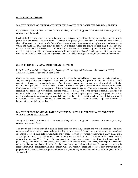### **BOTANY (CONTINUED):**

### **203. THE EFFECT OF DIFFERENT WATER TYPES ON THE GROWTH OF LIMA BEAN PLANTS**

Kyle Johnson, Block 1 Science Class, Marine Academy of Technology and Environmental Science (MATES), Advisor: Dr. John Wnek

Much of the food from around the world is grown. All fruits and vegetables and many more things good for you is grown from the ground. The main thing that makes these plants grow is sunlight and water. Sunlight cannot be changed but water can. In this study four different types of water were tested on one plant, the lima bean, to see which one made the lima bean grow the fastest. Over several weeks the growth of each lima bean plant was recorded. Once this was finished, it was found that the lima bean plant watered by mineral water grew the tallest over the specified time. This test was done twice, with four sets of four plants. Though not cost efficient, the mineral water would be the best choice for small gardens. Tap water, which most gardens use, did the worst in the first set.

### **204. EFFECTS OF** *ELODEA* **ON DISSOLVED OXYGEN**

PJ LoBello, Block 4 Science Class, Marine Academy of Technology and Environmental Sciences (MATES), Advisors: Mr. Jason Kelsey and Dr. John Wnek

*Elodea* is an invasive aquatic plant around the world. It reproduces quickly, consumes mass amounts of nutrients, and, eventually, chokes out ecosystems. One major problem caused by this pest is its "supposed" ability to drain ecosystems of oxygen dissolved in the water. Aquatic organisms use this dissolved oxygen for respiration. Similar to terrestrial organisms, a lack of oxygen will actually drown the aquatic organisms in the ecosystem; however, *Elodea* can survive this lack of oxygen and thrive in the decimated ecosystem. This experiment obtains the raw data regarding respiration and reproduction, proving whether or not *Elodea* is the oxygen-consuming monster it is renowned to be. Also, this investigates the rate of reproduction as the plants grow. Seeing how population affects oxygen levels (and in turn, reproduction) can help us to clearly see the effects (or lack thereof) of their growth and respiration. Overall, the dissolved oxygen levels remained somewhat constant; however, the plants did reproduce, but only after other individuals died.

### **205. THE EFFECT OF MIRACLE GRO AMOUNTS ON VENUS FLYTRAP PLANTS AND SEEDS WHEN USED AS FERTILIZER**

Jimmy Malta, Block 4 Science Class, Marine Academy of Technology and Environmental Science (MATES). Advisor: Mr. David Werner

The growth and development of a plant is based apon the nutrients, sunlight and water it receives. The more nutrients, sunlight and water it gets, the larger it will grow, to an extent. When too many nutrients, too much sunlight or water is absorbed, the plants growth stunts, and it under – develops; so what happens when a hearty plant, like a Venus flytrap, is loaded up with nutrients? Would the plants survive at all, and if so, thrive or become stunted? In order to test this, nine Venus Flytrap (*Dionaea muscipula*) plants, were separated into different soil types: nutrient poor, average, and fertilized. Each of these plants, along with 20 seeds of the same variety, were kept in a terrarium, put under a lamp to simulate sunlight for  $12 - 14$  hours, and sprayed with distilled water  $3 - 4$  times per week; this spanned from mid – November until mid – March. Color was visually judged and recorded. They showed that, in a properly fertilized soil, plants will grow and thrive, and pass the regular nutrition and poor nutrition plants in both size and color.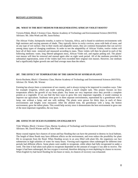### **BOTANY (CONTINUED):**

### **206. WHAT IS THE BEST MEDIUM FOR REGENERATING AFRICAN VIOLET ROOTS?**

Victoria Pobok, Block 3 Science Class, Marine Academy of Technology and Environmental Science (MATES) Advisors: Mr. John Wnek and Mr. Jason Kelsey

The African Violet, *Saintpaulia ionatha*, is native to Tanzania, Africa, and is found in rainforest environments with high moisture and varying amounts of shade. They typically thrive in rocky crevices, areas with beds of moss, and on any type of wet surface. Due to their sturdy and adaptable nature, they are common houseplants that can survive among many types of changing conditions. In order to test the adaptability of African Violets, twelve violets will have all of their roots removed and measured according to mass. Three violets will then be placed in each of the following mediums: water, long fibered sphagnum moss, African Violet soil, and regular potting soil. The plants' root masses will then be removed and massed again after an eight week period. All of the mediums provided for substantial regeneration, some of the violets had even exceeded their original root masses. However, one medium had a significantly higher growth rate and final average mass than the others.

### **207. THE EFFECT OF TEMPERATURE OF THE GROWTH OF SOYBEAN PLANTS**

Kevin Rochette, Block 1 Chemistry Class, Marine Academy of Technology and Environmental Sciences (MATES), Advisor: Dr. Wnek, Mr. Werner

Farming has always been a cornerstone of our country, and is always trying to be improved in countless ways. Take for example irrigation, which just made watering plants a much simpler task. This project focuses on how temperature affects the growth of soy bean plants. Soy beans are very important since they provide a complete protein as a vegetable. If we can find the best ways to grow this very important vegetable, it would continue to improve our agriculture. Soybeans were grow in three separate environments, represented by a greenhouse with a lamp, one without a lamp, and one with nothing. The plants were grown for thirty days in each of these environments and heights were measured. After the allotted time, the greenhouse with a lamp, the hottest environment, grew the tallest plants. This would help society since it demonstrates the best environment to grow one of the most important vegetables, the soy bean.

### **208. EFFECTS OF OCEAN FLOODING ON ENGLISH IVY**

Tyler Whalen, Block 1 Science Class, Marine Academy of Technology and Environmental Science (MATES), Advisors: Mr. David Werner and Dr. John Wnek

Many coastal regions face chances of ocean and bay flooding that can have the potential to destroy its local habitats. The length of these floods may have different effects on the environment, and even reduce the possibility for plant life to recuperate from the flood. When flooding occurs in an area filled with plant life, the organisms can face submersion in high salinities of water for many hours. Viewing each organism when submerged for different time periods had different effects. Some plants were unable to recuperate, while others had fully recuperated in under a week. The time it had taken each plant to recuperate depended on the amount of oxygen it was able to receive. The longer it had been submerged, the less oxygen it received, therefore delaying or even depleting its chance to recover. When English Ivy had faced flooding for ten hours or more, its chances of recovery was exhausted.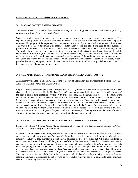### **EARTH SCIENCE AND ATMOSPHERIC SCIENCE:**

### **301. MASS OF PARTICLES IN RAINWATER**

Josh DePetro, Block 1 Science Class, Marine Academy of Technology and Environmental Science (MATES), Advisors: Mr. Dave Werner and Dr. John Wnek

Water that cycles through the water cycle is made up of not only water, but also other small particles. This experiment was performed in order to determine the mass of such particles which were collected from samples of rainwater. The purpose of the experiment was to determine the mass of particles in collected samples of rainwater. This was to be done by determining the masses of filter papers before and after being used to filter suspended particles from the water. The differences in masses would be used to calculate the masses of the filtered particles. The results showed that there were indeed particles in the water which existed in small quantities, and the solids contributed very little weight to the total mass of the rainwater. Also, the conductivity of the rainwater samples tended to vary with the results and only increased with the masses of the collected particles in some cases. In conclusion, the original hypothesis was supported by this experiment. Rainwater does contain a low supply of solid particles that are tiny compared to the volume of the water they are in. In addition, suspended particles do exist in the clouds and even throughout the water cycle.

### **302. THE AFTERMATH OF HURRICANE SANDY IN NORTHERN OCEAN COUNTY**

Allie Jasionowski, Block 3 Science Class, Marine Academy of Technology and Environmental Science (MATES), Advisors: Mr. Dave Werner and Dr. John Wnek

Empirical data surrounding the event Hurricane Sandy was gathered and analyzed to determine the resultant changes, which have occurred in the Northern Ocean County environment. Initial focus was on the effectiveness of the barrier island dune protection system. With little exception, the magnitude and force of the storm event devastated all zones studied. Massive volumetric losses were discovered in both the beachfront and dune system. Scarping, over wash and breaching occurred throughout the studied area. This, along with a sustained storm surge seems to have led to volumetric changes in the Barnegat Bay. Sand and additional storm debris left in the estuary system, has altered tide levels. Examination of daily tide maximums in the Barnegat Bay post-storm indicate a new "normal" to which the Northern Ocean County communities will be forced to adapt to. Flood events in this zone may be expected to occur with greater frequency and effect. Whereas past flooding was often the result of massive storms it will not take the same amount of surge to create similar damage in the future.

### **303. CAN SALTMARSH CORDGRASS EFFECTIVELY REMOVE SALT FROM ITS SOIL?**

Shane Kelly, Block 4 Science Class, Marine Academy of Technology and Environmental Science (MATES), Advisors: Mr. Jason Kelsey and Dr. John Wnek

Salt Marsh Cordgrass (*Spartina alterniflora*) has the unique ability to absorb and excrete excess salt from its soil and environment through pores in the plant's leaves. Cordgrass has been able to survive with this set of adaptations in nature successfully, as they can tolerate a great amount of salt as the tides flow in and out. When introduced into an environment with a set salinity, would the grass successfully be able to remove salt and lower the salinity of the soil and water? To come up with an answer to this question, four individual *Spartina alterniflora* were placed in pots with plain potting soil and 0.4 gallons of water with a salinity of 18ppt. The pots were monitored over a course of three weeks and data was recorded every two days. Recorded salinities were quite shocking, as the data did not show a decrease in salinity at all. Results showed a greater concentration of salt in the water than was originally present. This high concentration was likely due to the lack of tides, which play a key role in moving in water of different salinities in nature. The cordgrass did not prove to be successful in removing salt from soil, due to a lack of natural occurrences necessary to the life of the plant.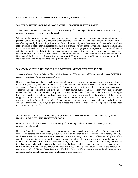### **EARTH SCIENCE AND ATMOSPHERIC SCIENCE (CONTINUED):**

### **304. EFFECTIVENESS OF DRAINAGE BASINS USING INFILTRATION RATES**

Althea Loucanides, Block 1 Science Class, Marine Academy of Technology and Environmental Science (MATES). Advisors: Mr. Jason Kelsey and Dr. John Wnek

When rainfall or storms occur, management of excess water is vital, especially for areas more prone to flooding. To prevent flooding and mitigate this inclement event, there are several defenses that are commonly practiced and even are often required by local municipalities. One of the utilized techniques is the creation of Detention basins whose sole purpose is to hold water and surface runoff, in a convenient, yet out of the way and unobtrusive location until the water is drained naturally. When the basins are not maintained properly, or exposed to an excess of human activity, compaction is likely to increase, and as such, because infiltration is directly related to compaction, infiltration rates will suffer. This leads to the question of how effective are the Detention basins in a coastal area of New Jersey? In the interest of answering this question, infiltration rates were collected from a number of local Detention basins and it was found the average basin was moderately effective.

### **305. COLD AS SNOW: HOW DOES COLD WEATHER AFFECT NITRATES IN SOIL?**

Samantha Mehnert, Block 4 Science Class, Marine Academy of Technology and Environmental Science (MATRES) Advisors: Mr. Dave Werner and Dr. John Wnek

Nitrogen mineralization is the process by which organic nitrogen is converted to inorganic forms, ready for plants to thrive off of, and a key component in the speed at which mineralization occurs is weather. But how much does cold, wet weather affect the nitrogen levels in soil? During this study, soil was collected from three locations in Tuckerton, NJ, and put into twelve pots, nine of which stayed outside and three which were kept in similar temperatures but were not exposed to precipitation. Throughout the winter, there were slight changes in the nitrogen levels, and eventually a pattern was discovered. In warmer weather, nitrogen levels typically stayed the same or dropped, while in colder weather, nitrogen levels would increase in both the controlled pots and the pots that were exposed to various forms of precipitation. By comparing the weather to the collected nitrogen levels, it can be concluded that during the winter, nitrogen levels increase due to cold weather. The soil composition did not affect their overall nitrogen levels.

### **306. COASTAL EFFECTS OF HURRICANCE SANDY IN NORTH BEACH, HAVEN BEACH, BEACH HAVEN, SURF CITY, AND HARVEY CEDARS**

Olufemi Palmer, Block 3 Science, Marine Academy of Technology and Environmental Science (MATES). Advisor: Dr. John Wnek

Hurricane Sandy left an unprecedented mark on properties along coastal New Jersey. Ocean County was hard-hit with loss of beaches and major shifting of dunes. In this study I profiled the beaches in Haven Beach, Surf City, North Beach, Harvey Cedars, and Beach Haven after Hurricane Sandy. I then used profiles that took place before and after Hurricane Sandy to find out the changes in gradient between the beaches before and after the hurricane. I found that the gradients of the beaches decreased. Then, I noted which beaches had the most damage, and realized that there was a relationship between the gradient of the beach and the amount of damage sustained from the hurricane. Finally I compared the beaches with artificial dunes (Surf City and Harvey Cedars) to the beaches with natural dunes (Beach Haven, Haven Beach, and North Beach) to see if the investment of artificial dunes pays off, and found out the natural dunes are nearly as effective as artificial dunes.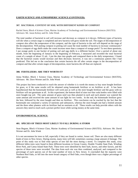### **EARTH SCIENCE AND ATMOSPHERIC SCIENCE (CONTINUED):**

### **307. BACTERIAL CONTENT OF SOIL WITH DIFFERENT KINDS OF COMPOST**

Rachel Stern, Block 4 Science Class, Marine Academy of Technology and Environmental Sciences (MATES) Advisors: Mr. Jason Kelsey and Dr. John Wnek

The total number of bacterial in soil will increase and decrease as compost in it decays. Different types of bacteria will die when a certain stage is completed and new bacteria will grow inside the soil. The stages of decomposition of compost also affect the temperature of the compost, and the type of bacteria in the soil will depend on the stage of the decomposition. Will putting compost in potting soil cause the total number of bacteria to increase continuously? Does a compost of egg shells make the count increase more than a compost of orange peels? To test these questions, I put orange peels in one bucket of potting soil and egg shells in a different bucket. Over a period of about one month, from the beginning of January to the beginning of February, I measured and recorded the total bacterial count of a sample of about 15 mL. I put the data into graphs and compared them to the daily temperature. I found that the bacterial counts would increase and then decrease; however, it was not a continuous pattern like I had predicted. This led me to the conclusion that certain bacteria die off after certain stages in the decomposition of compost and that after certain stages of decomposition, more bacteria die off than are replaced.

### **308. FERTILIZERS: ARE THEY WORTH IT?**

Jenna Walker, Block 1 Science Class, Marine Academy of Technology and Environmental Science (MATES), Advisors: Mr. Dave Werner and Dr. John Wnek

This project has been conducted to reach the answer of whether it is worth the money to buy store bought fertilizer for grass, or if the same results will be obtained using homemade fertilizer or no fertilizer at all. It has been hypothesized that the homemade fertilizer will work just as well as the store bought fertilizer and the grass with no fertilizer will not germinate at all. In this experiment, the bottom third of nine two-liter soda bottles were filled with store bought top soil. The same amount of grass seed was then planted in each and each planter was watered the same amount and received the same amount of sun light for two weeks. In the end, the homemade fertilizer grew the best, followed by the store bought and then no fertilizer. This conclusion can be reached by the fact that the homemade one contained a variety of nutrients and substances, whereas the store bought one had a limited amount and the three other planters with no fertilizer had no nutrients at all. These results can help provide others with the answers they need to reach such a picture perfect lawn while saving money at the same time.

### **ENVIRONMENTAL SCIENCE:**

### **401. SPECIES OF TREES MOST LIKELY TO FALL DURING A STORM**

Sean Begane, Block 4 Science Class, Marine Academy of Environmental Science (MATES). Advisors: Mr. David Werner and Dr. John Wnek

It is not uncommon for trees to fall, especially if they are found in wetter, looser soil. There are also many different kinds of trees in New Jersey. During storms, many trees will fall, sometimes causing a large amount of damage. The point of this study was to find what species of tree fall the most during a storm. To complete this study, sixty different fallen trees were found in three different locations in Ocean County, Double Trouble State Park, Winding River Park, and Cattus Island State Park. These trees were identified by their bark, leaves, and other factors, and the species of these trees were recorded. The data from each site was then combined, analyzed, and compared to the percentage of each species out of the total number of trees in New Jersey. It concluded that the majority were Northern Red Oaks, or fell into the more broad category of Red Oaks, even though there was a higher percentage of other species.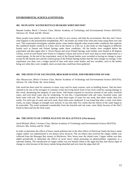### **ENVIRONMENTAL SCIENCE (CONTINUED):**

### **402. DO PLASTIC WATER BOTTLES DEGRADE WHEN REUSED?**

Hannah Gamba, Block 3 Science Class, Marine Academy of Technology and Environmental Science (MATES). Advisors: Dr. Wnek and Mr. Werner

Many people reuse plastic water bottles in an effort to save money and help the environment. But they don't know what happens to the polyethylene terephthalate, PET, the bottles are made from when they keep using them over and over. This experiment investigates whether plastic water bottles degrade when reused under conditions that replicate the conditions bottles would be in if they were in the freezer or a hot car. It also looks at what happens to different brands such as Dasani and Poland Springs under these conditions. All the bottles were weighed before the experiment and then again after it. Seven Dasani and seven Poland Springs water bottles were heated at 49 degrees Celsius, seven of each brand were frozen to 0 degrees Celsius and seven of each were kept at room temperature as a control group. At the end of the experiment, most of the Dasani bottles were recorded as having no change in mass except for the heated ones and the control group of the Poland Springs bottles had the most change on average. If the experiment was done over a longer period of time with more water bottles and less variables, such as the bottles being wet when they were weighed, more accurate data could have been gathered.

### **403. THE EFFECTS OF SALTWATER, BRACKISH WATER, AND FRESHWATER ON OAK**

Alec Mazzaccaro, Block 4 Science Class, Marine Academy of Technology and Environmental Science (MATES), Advisor: Dr. John Wnek, Mr. Jason Kelsey

Oak wood has been used for centuries in many ways and for many reasons, such as building houses. Oak has been claimed to be one of the strongest of common wood, but living beach front or bay front could be causing damage in this wood, threatening the integrity of your house. Oak homes exposed to excessive amount of salt water, brackish water, and even fresh water may be weakening. To test this, I experimented with salt water, brackish water, and fresh water with oak. The oak was soaked in these three types of water for one week, then three weeks, then five weeks. For each type of water and each week, three trials were conducted. It was found that after a week, even three weeks, no major changes in strength were noticed. It was only after five weeks that the effects of the water began to be noticeable. The wood weakened considerably from the brackish and salt water, most likely because of the NaCl found in them and not the fresh water.

### **404. THE EFFECTS OF COPPER SULFATE ON SEA LETTUCE (***Ulva lactuca***)**

Jarod Michael, Block 3 Science Class, Marine Academy of Technology and Environmental Science (MATES). Advisors: Mrs. Kelsey and Dr. Wnek

In order to determine the effects of heavy metal pollution due to the after effects of Hurricane Sandy the heavy metal copper sulfate was administered to sea lettuce (*ulva lactuca*). The sea lettuce that received the copper sulfate was collected from the Barnegat Bay estuary in Bricktown, New Jersey near the inland coast. Copper sulfate was then added periodically to determine the effects of acute heavy metal poisoning on photosynthetic organisms in a saltwater habitat. The introduction of copper sulfate was not initially lethal to the algae but they had shown signs of change in color because of the heavy metals being absorbed and over time the algae died off.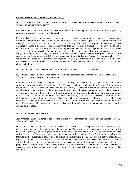### **ENVIRONMENTAL SCIENCE (CONTINUED):**

### **405. ECO-FRIENDLY CLEANING PRODUCTS VS. CHEMICALLY BASED CLEANING PRODUCTS: WHICH IS MORE EFFECTIVE?**

Kathleen Moran, Block 3 Science Class, Marine Academy of Technology and Environmental Science (MATES), Advisors: Mr. Jason Kelsey and Dr. John Wnek

Recently, there has been an emphasis on the use of "eco-friendly" cleaning products, therefore, it is necessary to determine if these products are just as effective at killing bacteria colonies as products that are not labeled "ecofriendly". Seventh Generation, a cleaning product company that considers its products "eco-friendly", was compared to Lysol, a cleaning product company that does not consider its products "eco-friendly", to determine which brand of products was more effective at killing bacteria colonies in three categories (multi-purpose cleaner, wipes, and bathroom cleaner). The numbers of bacteria colonies were counted both before and after they were sprayed with one of the cleaning products to determine the percentage of bacteria each product killed. It was determined that Lysol products killed a larger percentage of bacteria than the Seventh Generation products. This can be explained based on the fact that Lysol products contain ingredients that are more effective at killing bacteria than Seventh Generation products. Therefore, the results of this experiment suggest that Lysol products are more efficient at killing bacteria.

### **406. WHICH NATURAL MATERIAL BEST FILTERS STORM/ RUNOFF WATER?**

Kyle Oliveira, Block 1 Science Class, Marine Academy of Technology and Environmental Science (MATES), Advisors: Mr. Jason Kelsey and Dr. John Wnek

Pollution from runoff water is a continuous burden on Barnegat Bay. Fertilizers and soils are constantly washed down the storm water drains of the Barnegat Bay Watershed, releasing pollutants into Barnegat Bay. In order to determine a way to stop these pollutants from entering our bay, I attempted to determine which natural materials would be best to use in a filter in order to minimize the amount of pollutants entering the bay. In order to determine which filter material was best for the job; I used a turbidimeter to measure the clarity of the water after passing through different materials. The tested materials used were carbon, sand, gravel, and seaweed. After running three different water samples through each of the filters, I was able to determine that carbon was the best filter to use because it was the only filter to benefit the water in terms of turbidity. Sand made the water much more turbid than the unfiltered water. The seaweed and the gravel had very little effect on the water samples and were therefore counted as expendable.

### **407. SOIL VS. HYDROPONICS**

Josh Ordonez, Block 4 Science Class, Marine Academy of Technology and Environmental Science (MATES). Advisor: Mr. David Werner

Hydroponics is the usage of a plant growing material that is not soil. It has been proven that soil is not necessary for plant growth, but rather the nutrients that the soil retains. This research was conducted to test whether soil or hydroponics plant growth would prove to be more effective. The Kentucky Pole Bean was used as the test plant during the research. The data was collected over the course of three months. "Perlite" is the mineral rich material that was used as substitute to soil. A total of sixteen pole plants were grown, eight for each growth material. The significance in this project not only lies in the results, but the conclusions that may be created afterwards. The use of "artificial soil" may prove to be more convenient or effective as opposed to ordinary growing soil. Although the project itself is naturally subjected to human error, the results are arbitrary. As the final result of the experiment, it was proven that ordinary gardening soil produced more efficient results with a faster growth time and healthier plant condition.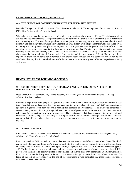### **ENVIRONMENTAL SCIENCE (CONTINUED):**

### **408. THE EFFECTS OF SALINITY ON INVASIVE VERSUS NATIVE SPECIES**

Danielle Tsougarakis, Block 1 Science Class, Marine Academy of Technology and Environmental Science (MATES), Advisors: Mr. Werner, Dr. Wnek

When plants are exposed to increased levels of salinity, their growth can be adversely affected. This is because when salt accumulates near the roots of the plant it damages the ability of the plant's roots to efficiently extract water from the surrounding soil. The plant then expends an increased portion of its energy on withdrawing water when it would normally use this energy for growth and development. So what exactly would happen if there was a rise in sea level, increasing the salinity levels that plants are exposed to? This experiment was designed to test these effects on the growth of an invasive species and typical lawn grass coexisting together. For eight weeks, two containers of grass were exposed to dandelion seeds, an invasive weed. One container was watered with tap water while the other was given water having a salinity of 0.5 ppt. After 6 weeks, the salinity was raised to 1.0 ppt. By the end of the experiment there was no statistical difference in the growth rates between the two containers which lead to the conclusion that very low increased salinity levels do not have an effect on the growth of invasive species coexisting with grass.

### **HUMAN HEALTH AND BEHAVIORAL SCIENCE:**

### **501. CORRELATION BETWEEN HEART RATE AND AGE AFTER RUNNING A SPECIFIED DISTANCE AT A CONTROLLED PACE**

Hope Beyer, Block 1 Science Class, Marine Academy of Technology and Environmental Science (MATES). Advisor: Mr. Jason Kelsey

Running is a sport that many people take part in to stay in shape. When a person runs, their heart rate normally gets faster than their resting heart rate. But does age have an effect on this change in heart rate? Will someone older in age have a higher or lower heart rate while running than someone of a younger age? This study was conducted to answer these questions. To compare age and heart rate, nine subjects ran one mile and then had their heart rates calculated. Each subject ran the mile at the same pace. The results suggest that there is a correlation between age and heart rate. Those of younger age generally have a higher heart rate than those of older age. The results can benefit people in that while exercising they can test their heart rate and make sure it is in the average heart rate zone for their age.

### **502. A TWIST ON SALT**

Lina Didzbalis, Block 1 Science Class, Marine Academy of Technology and Environmental Science (MATES), Advisors: Mr. Dave Werner and Dr. John Wnek

From coarse salt to Celtic sea salt to even smoked sea salt, there are many different types of salt. Basically all salt can be used while cooking foods and/or it can be used after the food is cooked to give the item a little more flavor. However, since there are so many different types of salts, can people actually taste a difference between two types of salt? To find the answer, sea salt and kosher salt were placed on small samples of pretzels that were baked. Fifty people were then asked to taste two pretzels: one with sea salt and the other with kosher salt. Questions were asked like, "Did you prefer the first pretzel or the second one better and why?" or "Was there not a difference between the tastes of the salt on the pretzels?" In the end of the experiment, it was concluded that most people can taste a difference between the two salts.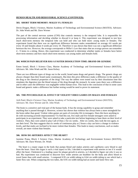### **HUMAN HEALTH AND BEHAVIORAL SCIENCE (CONTINUED):**

### **503. SHORT TERM MEMORY: MALES VS. FEMALES**

Devin Dragon, Block 3 Science, Marine Academy of Technology and Environmental Science (MATES). Advisors: Dr. John Wnek and Mr. Dave Werner

The part of the central nervous system (CNS) that controls memory is the temporal lobe. It is responsible for processing information and deciding whether to discard it or keep it. This experiment was designed to test how much short-term memory the temporal lobe can hold and who can hold more: young males or females. The experiment found that there was no significant difference between males remembered on average 4.6 words per every 10 and females about 4 words per every 10. Therefore it was shown that there was not a significant difference between the two. However, the average corresponds to Miller's Law that states that an average person can remember 4 - 9 items in a sitting. Hence, this experiment was conducted to determine whether males or females have better short-term memory and how much short-term memory can young males and females hold.

### **504. WHICH PAIN RELIEVER HAS A FASTER DISSOLUTION TIME: BRAND OR GENERIC**

Emon Ismail, Block 1 Science Class, Marine Academy of Technology and Environmental Science (MATES), Advisors: Mr. John Wnek and Mr. Jason Kelsey

There are two different types of drugs out in the world, brand name drugs and generic drugs. The generic drugs are always cheaper than their brand name counterparts. But does this price difference make a difference in the quality of the drug or the chemical properties of the drug? The way the tablets were tested was by their dissolution time this simulates the digestion into the blood stream of the drug through the stomach. In some cases there was a difference and in other cases the difference was negligible within human error. This lead to the conclusion of that in some cases brand and generic make a difference but further testing would be need to prove tis statement.

### **505. THE PSYCHOLOGICAL EFFECT OF VIOLENT VIDEO GAMES ON MALES AND FEMALES**

Arth Patel, Block 4 Science Class, Marine Academy of Technology and Environmental Science (MATES), Advisors: Mr. Dave Werner and Dr. John Wnek

The brain is a sensitive and vital part of the human body. It has the strong capability to grasp and remember anything that is passed through it. However, science has shown that violence has always been a more stronghold for the brain rather than good. Violent video games are parts of everyday life in teenagers. Does this have anything to do with increasing juvenile imprisonments? To find this out, five male and five female teenagers were asked to participate in an experiment. They were asked to take a particular test before beginning to base them on their level of violence. Then, they were asked to play Call of Duty 2 for six weeks. After six weeks, they took the test again, to see their level. The data suggests that six weeks of continuous play at 2 hours a day can have a change in violence levels, and that males are inclined to be more violent than females. This leads to many conclusions, such as males overall, are more violent than females.

### **506. HOW DO ARTERIES AFFECT THE HEART?**

Jazmine Prana, Block 3 Science Class, Marine Academy of Technology and Environment Science (MATES), Advisors: Mr. Dave Werner, Dr. Wnek

 The heart is a major organ in the body that pumps blood and makes arteries and capillaries carry blood to and from the heart. Since this organ is such a vital aspect to life, I decided to experiment with arteries to see if it would affect the heart. Cholesterol is a leading cause for plaque growth in arteries, so I decided to figure out why it was so bad. My experiment was conducted to discover how wider arteries are healthier for the body and allow blood to travel faster than with small arteries. I compared 0.95 cm width tubing to 0.64 cm width tubing to see which had a faster flow rate. When comparing the two tubes, the 0.95 cm width tubing had an easier and faster flow rate.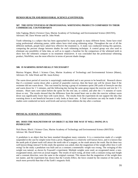### **HUMAN HEALTH AND BEHAVIORAL SCIENCE (CONTINUED):**

### **507. THE EFFECTIVENESS OF PROFESSIONAL WHITENING PRODUCTS COMPARED TO THEIR COMMERCIAL COUNTERPARTS**

John Taglang, Block 4 Science Class, Marine Academy of Technology and Environmental Science (MATES), Advisors: Mr. Dave Werner and Dr. John Wnek

Tooth whitening is a subject that has been approached by many people in many different forms. Some have tried using professional whitening pastes, while others have tried using whitening strips. Throughout the use of all the different methods, people have asked how effective the treatment is. A study was conducted testing this question, comparing the percent change between shades for each whitening technique. A control group was also used to eliminate any possibility of false data, as well as to supply a baseline for the comparison of the whitened teeth to show how the whiteners compare to no treatment whatsoever. It was concluded that the professional whitening product, NiteWhite, was the most effective in terms of percent shade change.

### **508. IS WARMING DOWN REALLY NECESSARY?**

Marissa Wagner, Block 1 Science Class, Marine Academy of Technology and Environmental Science (Mates), Advisors: Dr. John Wnek and Mr. Jason Kelsey

The warm down period of exercise is surprisingly understudied and is not proven to be beneficial. Research shows that if a swimmer warms down after a period of anaerobic exercise, then the heart rate will be slower than if the swimmer did not warm down. This was tested by having a group of swimmers sprint 200 yards of freestyle one day and warm down for 1 ½ minutes, and the following day having the same group repeat the exercise and rest for 1 ½ minutes. Heart rates were taken before the sprint for the rest rate, or control, and after the 1 ½ minutes of warm down or rest. The results showed that the difference from the rested heart rate to after the exercise without warm down was significantly lower than with warm down. The results from the experiment do not support the idea that warming down is not beneficial because it only looks at heart rate. A final conclusion can only be made if other studies were conducted on lactic acid levels and surveys from athletes the day after a workout.

### **PHYSICAL SCIENCE AND ENGINEERING:**

### **601. DOES THE MAGNETISM OF AN OBJECT ALTER THE WAY IT WILL SWING IN A PENDULUM?**

Nick Burns, Block 1 Science Class, Marine Academy of Technology and Environmental Science (MATES): Advisor: Mr. David Werner

A pendulum is an object that has been standard throughout many centuries. It is a construction made of a weight suspended in the case by simple twine from a pivot. Magnetism is a relatively well known force, and it is known that the north pole of planet earth will attract the north side of a magnet, as the south attracts the south. But do these two well known things interact? In this study the question was asked, does the magnetism of the weight affect how it will swing? In the study a pendulum was built and as a constant a nonmetallic weight was swung. The swinging of this weight was natural, as shown by Foucault's experiment. Multiple weights were used, an oxygenated metal, a nonoxygenated metal, and even an actual magnet. The results of each swing, all done with a constant swing start height and a constant direction, were the same to the original constant. This means that the magnetism of the weight does not matter, and the experiment has shown that the Coriolis Effect, the force created by the rotation of the earth, is much more powerful than that of the Earth's magnetic field.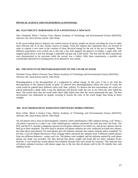### **PHYSICAL SCIENCE AND ENGINEERING (CONTINUED):**

### **602. ELECTRICITY: HARNESSING IT IN A POTENTIALLY NEW WAY**

Alex Chuderski, Block 1 Science Class, Marine Academy of Technology and Environmental Science (MATES). Advisors: Mr. Dave Werner and Dr. John Wnek

In the never-ending quest to improve our current sources of power, people are always searching for ways to make more efficient and, as of late, cleaner sources of energy. From this impetus this experiment here was devised in order to explore a new route in the creation of clean electrical energy by the use of the use of magnets. Three different experiments were carried out to this end, a fan with magnets hot glued to its blades, a paper disk with magnets glued down it and sent through a makeshift rail-gun and a half motor. The first and the third experiments were demonstrated to be successes while the second was a failure. With these experiments, a possible and considerable alternative to creating power in an alternative was created.

### **603. THE EFFECTS OF PHOTODEGRADATION ON THE COLOR OF WOOD**

Nicolette Corrao, Block 4 Science Class, Marine Academy of Technology and Environmental Science (MATES), Advisors: Mr. Jason Kelsey and Dr. John Wnek

Photodegradation is the decomposition of a compound by radiant energy. In this case, it has to do with the decomposition of the chemical bonds in paint. To observe how photodegradation affects the color of wood, the wood would be painted three different colors (red, blue, yellow). To observe the best environment, the wood was placed underneath a shade cloth, a tarp (for darkness) and directly under the sun, to see where the color faded the most. The results show that the wood under direct light faded more than the wood underneath the tarp. The best environment was underneath an opaque covering to sustain the color of the wood longer than being in direct sunlight.

### **604. ELECTROMAGNETIC RADIATION EMITTED BY MOBILE PHONES**

Ryan Gittler, Block 4 Science Class, Marine Academy of Technology and Environmental Science (MATES), Advisors: Mr. Jason Kelsey and Dr. John Wnek

All cell phones emit a form of electromagnetic radiation called radiofrequency (RF) radiation during a call. When a cell phone is pressed to a caller's ear, some radiofrequency radiation penetrates the skull and enters the body. The EPA and the FCC consider a dangerous amount of cell phone radiation to be  $5 \text{mW/cm}_2$ , and all new phones must be held up to these standards. The tests used to measure cell phone radiation are only conducted on brand-new phones, but what about used phones? Do used phones give off radiation amounts that surpass national safety standards? To test this, a Gen-El Digital Microwave Oven Leakage Meter measured the radiation from 9 different mobile phones from two different distances—contact and 1cm. The phones were weighed, and the radiation emitted by each phone during call mode was recorded. The data showed that phone weight and brand did not affect radiation levels; however, it was found that certain phones had radiation amounts that were unsafe for exposure. This indicates that cell phone radiation increases with phone usage, due to the fact that all phones sold in the US initially have safe radiation levels.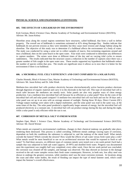### **PHYSICAL SCIENCE AND ENGINEERING (CONTINUED):**

### **605. THE EFFECTS OF A BULKHEAD ON THE ENVIRONMENT**

Kyle Gorman, Block 4 Science Class, Marine Academy of Technology and Environmental Science (MATES), Advisor: Mr. Jason Kelsey

Shoreline areas along the coastal regions sometimes have structures, called bulkhead, that form a wall to define property. The overall use of bulkheads is sometimes estimated at 42% along Barnegat Bay. Studies indicate that bulkheads do not prevent erosion as they were intended, but they cause more erosion and change habitat along the shoreline. The objective of this study was to determine if a bulkhead affects the environment of a body of water. The study was conducted by using a seine net to collect samples of macro, free-swimming organisms around and near a bulkhead, then on the same beach in the open water. Four trials were conducted to determine any differences in capture numbers. The seines were done at different times of the day and on varying tidal cycles to ensure randomness. The results indicated that the structure causes a reduction in the number of captures since there was a greater number of fish caught in the open water area. These results supported my hypothesis that bulkheads reduce the number of species within that area. The results are significant since it allows us to now that it is better for the environment if there is no bulkhead.

### **606. A MICROBIAL FUEL CELL'S EFFICIENCY AND COST COMPARED TO A SOLAR PANEL**

Charles Homoki, Block 4 Science Class, Marine Academy of Technology and Environmental Science (MATES), Advisors: Mr. Jason Kelsey and Dr. John Wnek

Mediator-less microbial fuel cells produce electricity because electrochemically active bacteria produce electrons through digestion of organic material and carry it to the electrode in the fuel cell. This type of microbial fuel cell is much safer because the mediators are mostly toxic. Solar panels are also very popular ways of clean energy production. Can a mediator-less microbial fuel cell because be as efficient as a solar panel? How do the costs of the microbial fuel cell and solar panel compare? A mediator-less microbial fuel cell was built and run for 30 days and a solar panel was set up in an area with an average amount of sunlight. During those 30 days, Direct Current (DC) Voltage output readings were taken with a digital multimeter, and the solar panel was read in the same way, at the same times of the day. The solar panel produced a significantly larger amount of energy, but the microbial fuel cell produced electricity at a constant rate. A microbial fuel cell can produce energy during the day and during the night, while a solar panel is only efficient while the sun is out.

### **607. CORROSION OF METALS: SALT VS FRESH WATER**

Stephen Opet, Block 1 Science Class, Marine Academy of Technology and Environmental Science (MATES). Advisor: Mr. David Werner

When metals are exposed to environmental conditions, changes in their chemical makeup can gradually take place, rendering them destroyed. This process is called corroding. Different metals undergo varying types of corrosion, dependant on both the conditions the substance is subjected to, and the makeup of the metal itself. What metals corrode the fastest? Which corrode the slowest? How would the effects of salt water versus fresh water play a role? What metals would be most beneficial to use on an architectural structure that would be exposed to fresh or salt water? To find these answers, six different types of common metals were tested over a ten week period. Each had a sample that was subjected to both salt water (approx. 29 PPT) and distilled fresh water. Progress was documented once the experiment was roughly half way completed, every other week. Once the ten week period was concluded, the corrosion was cleaned off the samples, and damage was observed. The data showed an increase in the damage received to the salt water samples versus their fresh water counterparts. However, in both sets, low alloy steel was shown to undergo the greatest corrosion, while stainless steel was the most corrosion resistant. In locations along the coast and other water bodies, the result of flooding can impact the type of metal fastener used, which could impact the fastener's overall effectiveness.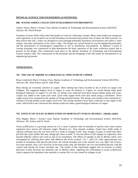### **PHYSICAL SCIENCE AND ENGINEERING (CONTINUED):**

### **608. WATER SAMPLE COLLECTION IN HAZARDOUS ENVIRONMENTS**

Andrew Seney, Block 1 Science Class, Marine Academy of Technology and Environmental Science (MATES). Advisor: Mr. David Warner

Scientists of many fields collect data from bodies of water by collecting a sample. Many water bodies are overgrown with vegetation, or are located in an overall hazardous environment that present risks of injury for field scientists. To help remove this risk, a robot was designed to travel through potentially hazardous environments and collect a water sample, and other information at the water's edge. The design was created based on several engineering principles, and the performance of technological components in wet or treacherous environments. In addition, a proof of concept prototype was constructed to help demonstrate the basic operation of the water collection system that is present on the design. This construction took place at the Marine Academy of Technology and Environmental Science robotics club. The construction of the prototype and the designing of the full model are documented in an engineering log journal.

### **TOXICOLOGY:**

### **701. THE USE OF SHRIMP AS A BIOLOGICAL INDICATOR OF COPPER**

Brian Comerford, Block 3 Science Class, Marine Academy of Technology and Environmental Science (MATES), Advisors: Mr. Jason Kelsey and Dr. John Wnek

Most shrimp are extremely sensitive to copper. Shore shrimp have been recorded to die at levels of copper over 0.40ppm. The suggested highest level of copper in water for humans is 1.3ppm. So would shrimp make good biological indicators of copper? To test this, 25 shrimp were collected from there natural habitat along with water. Copper was added to this water each week. Each week copper levels were also tested using a colorimeter. These copper levels were compared to the number of living and dead shrimp. The shrimp were found to have remained at a constant 24 living shrimp as the copper levels rose. The shrimp seemed to have built a tolerance to the copper in the water, which lead to the conclusion that shrimp would not make a good biological indicator of copper.

### **702. EFFECTS OF OCEAN ACIDIFICATION ON MORTALITY IN BLUE MUSSELS (***Mytilus edulis***)**

Nick Hughes, Block 1 Science Class, Marine Academy of Technology and Environmental Science (MATES): Advisors: Mr. Kelsey and Dr. Wnek

Ocean acidification is a growing concern as it is a cause of greater rates of mortality of species since many marine organisms have narrow pH tolerance ranges. Bivalves (i.e., blue mussels, scallops, clams) have shells made of calcium carbonate that may not form well as a result of changes in pH. And, changes in types of runoff that affect pH feed into water bodies that may change pH values overall. To test the effects of pH changes on organisms, blue mussels (*Mytilus edulis*) were used as part of an experiment. The effects of changes in pH on *Mytilus edulis* were investigated by utilizing three tanks with different pH levels (control: 7.8, 7, and 6.2). After approximately two months of treatments with specific pH levels, the overall mortality rate of the mussels was very high. Out of fortyfive total mussels, only a few survived. In the most acidic tank, the mortality rate was one hundred percent, with the control tank having the lowest mortality rate. The results of this experiment suggest that an increase in acidity (decrease in pH) increases the mortality rate in *Mytilus edulis*. Applying this information to ocean acidification clearly supports the hypothesis that mortality in marine life is in fact caused by changes in pH.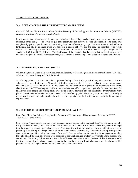### **TOXICOLOGY (CONTINUED):**

### **703. DOES pH AFFECT THE INDESTRUCTIBLE WATER BEAR?**

Conor McGullam, Block 3 Science Class, Marine Academy of Technology and Environmental Science (MATES), Advisors: Mr. Dave Werner and Dr. John Wnek

It was already determined that tardigrades were durable animals: they survived space, extreme temperatures, and numerous other things. The levels of pH that tardigrades can survive in were understudied. The study was completed by gathering tardigrades and separating them into different pH groups. There were five in total with two tardigrades per pH group. Each group was tested in a certain pH level and the data was recorded. The results showed that the tardigrades couldn't survive in 10.10 and 2.30 pH levels for more than two days. Tardigrades did survive in 4.53, 7, and 8.30 pH levels. The significance of the results is that they show that tardigrades can survive in a wider range of pH levels than most animals, but they cannot survive in pH levels that are too acidic or alkaline.

### **704. ANTIFOULING PAINT AND SHRIMP**

William Pagdatoon, Block 3 Science Class, Marine Academy of Technology and Environmental Science (MATES), Advisors: Mr. Jason Kelsey and Dr. John Wnek

Anti-fouling paint is a method in order to prevent fouling which is the growth of organisms on items that are submerged or soaked with water. Although anti-fouling paint is useful, it has been linked to many environmental concerns such as the deaths of many marine organisms. As traces of paint peels off by movement of the water, chemicals such as TBT and cuprous oxide are released and can affect organisms physically. In the experiment, the lethality of three copper anti-fouling paints were tested to show how each affected the shrimp. Twenty shrimp were placed in each tank with rocks that were covered with anti-fouling paint. The shrimp were monitored constantly to record any deaths in the tank. Results show that all three paints caused all of the shrimp to die to the amount of cuprous oxide.

### **705. EFFECTS OF STORM RUNOFF ON BARNEGAT BAY LIFE**

Ryan Paul, Block One Science Class, Marine Academy of Technology and Environmental Science (MATES), Advisor: Mr. David Werner

Shore shrimp (*Palaemonetes sp*.) are a very abundant shrimp species in the Barnegat Bay. The shrimp are eaten by many creatures in the bay, and serve as the base of the bay's food chain. Storm runoff causes many chemicals to go into the water and change water characteristics. This experiment tests the result of storm runoff with the ease of predating shore shrimp if a large amount of storm runoff was to enter the bay. Some shore shrimp were put into water with red dye. After living in this water for a week, they were then put into a tank with red paper surrounding the walls of half the tank. The shrimp were observed to see what side, red or clear, they went to after a predator was assimilated. The shrimp did not seem to know the difference between the sides. Because of this, it was concluded that if a substantial water change was to happen in the bay, the shrimp will not adapt soon, and the shrimp will be predated easily, causing the base of the food chain to weaken or not exist.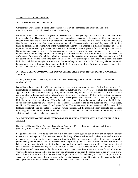### **TOXICOLOGY (CONTINUED):**

### **706. BIOFOULING DETERRENCE**

Christopher Sayers, Block 4 Science Class, Marine Academy of Technology and Environmental Science (MATES), Advisors: Dr. John Wnek and Mr. Jason Kelsey

Biofouling is the attachment of an organism to the surface of a submerged object that has been in contact with water for a period of time. There are variations in attachment organisms depending on the water conditions, amount of salt, amount of sunlight, and also the rate of water flow. To determine the effects of biofouling in Beaver Dam Creek, New Jersey, control and variable materials were submerged in the creek to show how well they deterred biofouling based on percentages of fouling. One of the variables was an air bubbler attached to a piece of fiberglass in order to replicate the >2m/s velocity of water movement that is needed to stop organisms from attaching to the surface. Biofouling abundance on the materials was recorded by taking a picture with a camera phone every week for three months. Water and air temperature, salinity, and pH were also recorded. After the initial data was collected, the surface area of the materials and the biofouling coverage on the materials were measured. The bare copper pipe did not collect any biofouling in the time period and had <0.01% of biofouling; the air bubbler only seemed to *deter*  biofouling and did not *completely* stop it with the biofouling percentage of 5.4%. This study shows that an air bubbler does help in limiting the amount of biofouling, which showed a significant improvement over other materials that did not have constant water movement.

### **707. BIOFOULING COMMUNITIES FOUND ON DIFFERENT SUBSTRATES DURING A WINTER SEASON**

Anthony Srnka, Block 4 Chemistry, Marine Academy of Technology and Environmental Science (MATES). Advisor: Mr. Werner

Biofouling is the accumulation of living organisms on surfaces in a marine environment. During this experiment, the accumulation of biofouling organisms on the different substrates was observed. To conduct this experiment, an apparatus was constructed with wood, plastic, aluminum, ceramic, and PVC substrates attached to it. It was then deployed off of a floating dock at the Rutgers University Marine Field Station (RUMFS) in Tuckerton, New Jersey. During the course of three months, the device was checked periodically to record observations of the progress of biofouling on the different substrates. When the device was removed from the marine environment, the biofouling on the different substrates was observed. The identified organisms found on the substrates were brown algae, amphipods (*Gammarus mucronatus*), and grass shrimp. The surface area of the substrates and the mass of the biofouling material were calculated to determine which substrate had the most and which substrate had the least biofouling. Observations were also made on different factors that affected the amount of biofouling on each substrate, such as texture, light, and temperature.

### **708. DETERMINING THE MOST NON-FATAL FILTRATION SYSTEM WHILE MAINTAINING SEA JELLIES**

Christopher Zdyrski, Block 1 Science Class, Marine Academy of Technology and Environmental Science (MATES), Advisors: Mr. Dave Werner and Dr. John Wnek

Sea jellies have been shown to be very difficult to maintain in tank systems due to their lack of rigidity, counter movement from danger, and difficulty to move/handle. Many different tank setups have been examined or made to overcome this obstacle and three were chosen to test. Two different species were collected: the Beroe comb jelly (*Beroe ovata*) and the leidyi comb jelly (*Mnemiopsis leidyi*). Many modifications to each tank were carried out to help insure the longevity of the sea jellies. Totes were used to originally house the sea jellies. Totes were not used after tank #2 due to their flexibility. In tank #1 an acrylic sheet was used to help with water flow. In tank #2 a spray bar with a tote and a tank were used to decrease suction and remove the filter from the main tote. In tank #3 a bucket was used to contain the sea jellies and the spray bar introduced water from the second tank to the first tank. It was shown from this experiment that the health and length of survival for tank setup #3 was the longest and most successful. While more sea jellies were used in the last trial because no more B. ovata could be caught, the health and appearance of *M. leidyi* seemed to show that this setup was the most effective.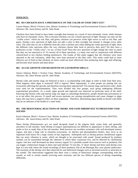### **ZOOLOGY:**

### **801. DO CHICKENS HAVE A PREFERENCE ON THE COLOR OF FOOD THEY EAT?**

Lauren Harper, Block 4 Science class, Marine Academy of Technology and Environmental Sciences (MATES), Advisors: Mr. Jason Kelsey and Dr. John Wnek

Chickens have been found to have better eyesight than humans as a result of tetra-chromatic vision, while humans only have tri-chromatic vision. This is because chickens can see a fourth spectrum of light. Humans can only see the "visible colors" which are red, blue, and green; chickens can perceive violet light waves as well as red, blue, and green. Seeing a new spectrum of light does not add a color to their eyesight, but instead, it changes every other color. The color that we see is different from the color a chicken sees when adding the violet spectrum of light. Does the different color spectrum affect the way chickens choose their food or perceive their prey? Do they have a preference on the "visible color", we see, of their food? Does this new spectrum of light change the color so much that they are not attracted to it? To answer all of these questions, a y-maze was used in conjunction with different colored-food to test chicken feeding preferences. The results of this study suggest that the chickens were more attracted to the red coloration, while they were least attracted to the blue color. This study could lead to more effective use of feed so that chickens on farms could eat more effectively thus producing more eggs and offspring, and become more muscle and meat dense.

### **802. ALGAE GROWTH AND REGROWTH ON GASTROPOD SHELLS**

Jessica Johnson, Block 1 Science Class, Marine Academy of Technology and Environmental Science (MATES), Advisors: Mr. Dave Werner and Dr. John Wnek

Hermit crabs and marine slugs are believed to have a co-relationship with algae in order to hide from their prey. What happens when algae is removed? Will it regrow? More importantly, is what people are putting into our ecosystems affecting this growth, and therefore leaving them unprotected? Ten marine slugs and hermit crabs' shells were used for the experimentation. They were divided into four groups, each group undergoing different experimental procedures. As a result, algae growth and regrowth was observed on particular areas of the shell. Knowing that hermit crabs and marine slugs use algae to camouflage themselves, people should take precautions so as to not affect this process. If runoff and excess nutrients are causing eutrophication and cause changes in algae types, this may have a negative effect on these organisms. Therefore, determining algae health on hermit crab shells may be an indicator of the health of a water body.

### **803. THE BEHAVIORAL REACTIONS OF SHORE AND SAND SHRIMP DUE TO PREDATORY FISH SOUNDS**

Kayla Johnston, Block 1 Science Class, Marine Academy of Technology and Environmental Science (MATES). Advisors: Mr. Jason Kelsey and Dr. John Wnek

Shore shrimp (*Palaemonetes sp.*) are small decapods found in the eelgrass beds, oyster beds, and generally anywhere in salt marshes. Sand shrimp (*Crangon septemspinosa*) are different in appearance to shore shrimp, and prefer to live in sandy flats of the salt marshes. Both however are excellent swimmers with well-developed sensory organs, and play a large role in estuarine ecosystems. As detritus and phytoplankton feeders, they serve as an important food source for a large variety of bay organisms. Arthropods such as shrimp possess chordotonal organs that can sense vibration in water, which are thought to be associated with sound. Sound produced by predator animals can be transmitted through the substrate in which these crustacean live, and be detected by chordotonal organs. Just how well developed are these sensory organs? Is it possible sounds from sources such as predatory fish can trigger a behavioral change in shore and sand shrimp? To test this, 37 shore shrimp and three sand shrimp were kept in a test tank where the sound recordings of three predatory fish of the Barnegat Bay were played underwater. The reactions of the shrimp were then observed for any behavioral changes such as increased activity or attraction to the sounds. The observations suggested that there were a variety of behavioral changes corresponding with the sounds, as well as certain sounds receiving more reactions, and the two different species of shrimp responding differently.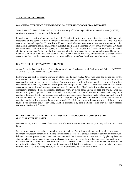### **ZOOLOGY (CONTINUED):**

### **804. CHARACTERISTICS OF FLOUNDERS ON DIFFERENT COLORED SUBSTRATES**

Jenna Kwiecinski, Block 3 Science Class, Marine Academy of Technology and Environmental Science (MATES), Advisors: Mr. Jason Kelsey and Dr. John Wnek

Flounders are a species of bottom dwelling fish. Blending in with their surroundings is key to their survival. Depending on the color substrate, flounders camouflage their body coloration to hide from predators. But how drastic can these changes be? To test this, different colored substrates were used to examine the amount of color change on a Summer Flounder (*Paralichthys dentatus*) and a Winter Flounder (*Pleuronectes americanus*). Pictures were then taken, and ratios of red, green, and blue were found to compare the differentiation of each flounder's ability to camouflage. Neither of the flounders was able to fully adapt to the colored substrates. The summer Flounder's ability to camouflage was better than the Winter Flounder. However, a bottom made up of regular sand was the area that both flounders favored and both were able to camouflage the closest to the background colors.

### **805. THE GRASS ISN'T ALWAYS GREENER**

Alissa Papernik, Block 4 Science Class, Marine Academy of technology and Environmental Science (MATES), Advisors: Mr. Dave Werner and Dr. John Wnek

Earthworms are said to improve growth on plants but do they really? Grass was used for testing this myth. Earthworms are a natural fertilizer and their excretions help give plants nutrients. The earthworms need decomposing matter to make these excretions. Earthworms were kept for a few weeks prior to the experiment in a container in their own soil, leaves and bread (providing an organic food source). The soil amended by earthworms was used as an experimental treatment to grow grass. A container full of backyard soil was also set up to serve as a comparative measure. Both experimental containers were given the same amount of seed and water. Over the course of forty-six days the soil was observed. My expected outcome of earthworm treated soil being more conducive for grass growth was not supported as there was an unexpected result. My data suggest that the backyard soil was more beneficial than the earthworm soil for the growth of grass. The grass was taller and more dense in this container, as the earthworm grass didn't grow as much. The difference in growth may be a result of the soil types found in the southern New Jersey area, which is dominated by sand particles, which may not fully support earthworm nutrient soil fixation.

### **806. OBSERVING THE PREDATORY SENSES OF THE CHOCOLATE CHIP SEA STAR (***PROTOREASTER NODOSUS)*

Nastasia Porras, Block 2 Science Class, Marine Academy of Environmental Science (MATES), Advisor: Mr. Jason Kelsey

Sea stars are marine invertebrates found all over the globe. Apart from their use as decoration, sea stars are important bioturbators for almost all marine environments. Because it is difficult to monitor sea stars in their natural habitats, a natural predatory encounter was simulated with the *Protoreaster nodosus* species. By placing three sea stars in a closed environment it was easy to observe their choice of harmed prey, that was easier to digest, or prey that remained alive. After seventeen observations it was clear that the sea stars chose the vulnerable prey for the majority of the trials. With this information it was concluded that this selection also occurs in the wild, therefore, inferring that sea stars do have predatory senses that allow them to detect vulnerable prey.